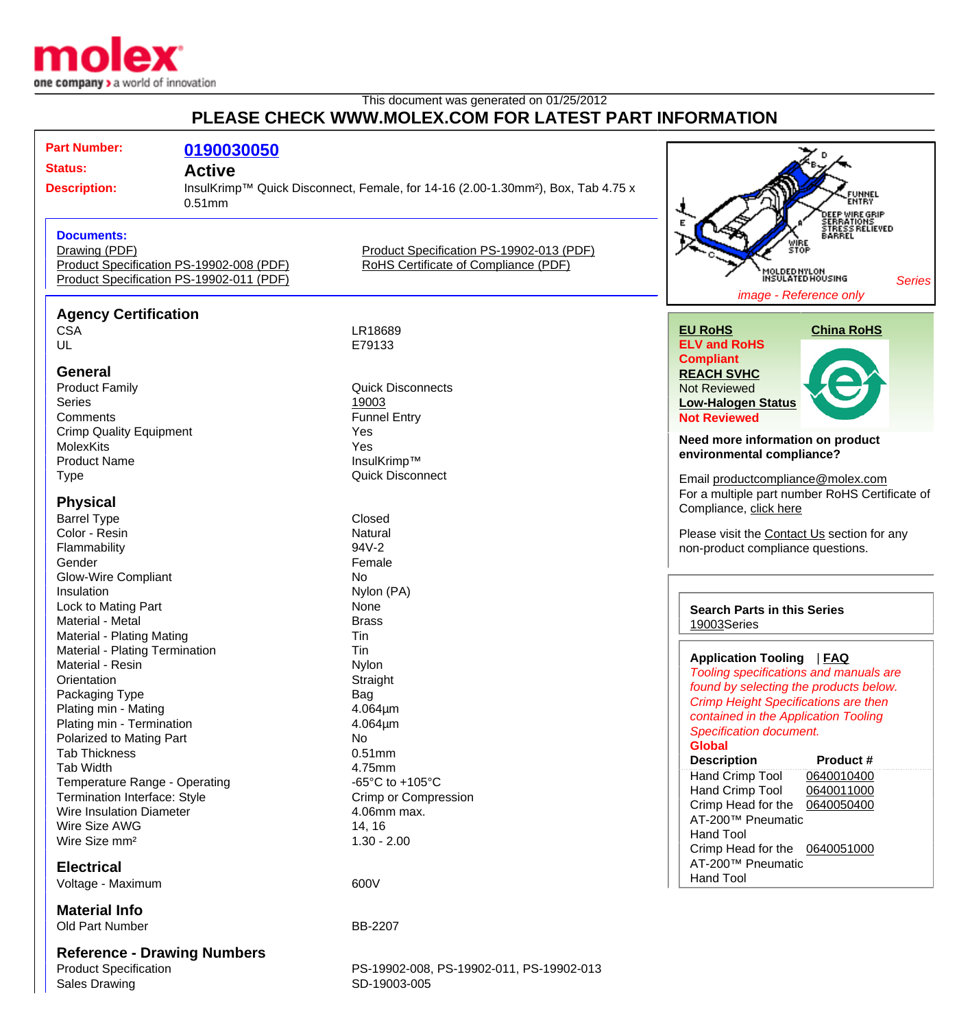

## This document was generated on 01/25/2012 **PLEASE CHECK WWW.MOLEX.COM FOR LATEST PART INFORMATION**

| <b>Part Number:</b><br><b>Status:</b><br><b>Description:</b>                                                                                       | 0190030050<br><b>Active</b><br>$0.51$ mm | InsulKrimp™ Quick Disconnect, Female, for 14-16 (2.00-1.30mm <sup>2</sup> ), Box, Tab 4.75 x | FUNNEL<br>ENTRY                                                                                                                            |
|----------------------------------------------------------------------------------------------------------------------------------------------------|------------------------------------------|----------------------------------------------------------------------------------------------|--------------------------------------------------------------------------------------------------------------------------------------------|
| <b>Documents:</b><br>Drawing (PDF)<br>Product Specification PS-19902-008 (PDF)<br>Product Specification PS-19902-011 (PDF)                         |                                          | Product Specification PS-19902-013 (PDF)<br>RoHS Certificate of Compliance (PDF)             | DEEP WIRE GRIP<br>SERRATIONS<br>STRESS RELIEVED<br>BARREL<br>ŠŤOP<br>MOLDED NYLON<br>INSULATED HOUSING<br>Series<br>image - Reference only |
| <b>Agency Certification</b>                                                                                                                        |                                          |                                                                                              |                                                                                                                                            |
| <b>CSA</b>                                                                                                                                         |                                          | LR18689                                                                                      | <b>China RoHS</b><br><b>EU RoHS</b>                                                                                                        |
| UL                                                                                                                                                 |                                          | E79133                                                                                       | <b>ELV and RoHS</b>                                                                                                                        |
|                                                                                                                                                    |                                          |                                                                                              | <b>Compliant</b>                                                                                                                           |
| <b>General</b>                                                                                                                                     |                                          |                                                                                              | <b>REACH SVHC</b>                                                                                                                          |
| <b>Product Family</b>                                                                                                                              |                                          | <b>Quick Disconnects</b>                                                                     | <b>Not Reviewed</b>                                                                                                                        |
| <b>Series</b>                                                                                                                                      |                                          | 19003                                                                                        | <b>Low-Halogen Status</b>                                                                                                                  |
| Comments                                                                                                                                           |                                          | <b>Funnel Entry</b>                                                                          | <b>Not Reviewed</b>                                                                                                                        |
| <b>Crimp Quality Equipment</b>                                                                                                                     |                                          | Yes                                                                                          | Need more information on product                                                                                                           |
| <b>MolexKits</b>                                                                                                                                   |                                          | Yes                                                                                          | environmental compliance?                                                                                                                  |
| <b>Product Name</b>                                                                                                                                |                                          | InsulKrimp™                                                                                  |                                                                                                                                            |
| <b>Type</b>                                                                                                                                        |                                          | <b>Quick Disconnect</b>                                                                      | Email productcompliance@molex.com                                                                                                          |
| <b>Physical</b>                                                                                                                                    |                                          |                                                                                              | For a multiple part number RoHS Certificate of                                                                                             |
| <b>Barrel Type</b>                                                                                                                                 |                                          | Closed                                                                                       | Compliance, click here                                                                                                                     |
| Color - Resin                                                                                                                                      |                                          | Natural                                                                                      | Please visit the Contact Us section for any                                                                                                |
| Flammability                                                                                                                                       |                                          | 94V-2                                                                                        | non-product compliance questions.                                                                                                          |
| Gender                                                                                                                                             |                                          | Female                                                                                       |                                                                                                                                            |
| <b>Glow-Wire Compliant</b>                                                                                                                         |                                          | No                                                                                           |                                                                                                                                            |
| Insulation                                                                                                                                         |                                          | Nylon (PA)                                                                                   |                                                                                                                                            |
| Lock to Mating Part                                                                                                                                |                                          | None                                                                                         | <b>Search Parts in this Series</b>                                                                                                         |
| Material - Metal                                                                                                                                   |                                          | <b>Brass</b>                                                                                 | 19003Series                                                                                                                                |
| Material - Plating Mating                                                                                                                          |                                          | Tin                                                                                          |                                                                                                                                            |
| Material - Plating Termination                                                                                                                     |                                          | Tin                                                                                          |                                                                                                                                            |
| Material - Resin                                                                                                                                   |                                          | Nylon                                                                                        | Application Tooling   FAQ                                                                                                                  |
| Orientation                                                                                                                                        |                                          | Straight                                                                                     | Tooling specifications and manuals are<br>found by selecting the products below.                                                           |
| Packaging Type                                                                                                                                     |                                          | Bag                                                                                          | <b>Crimp Height Specifications are then</b>                                                                                                |
| Plating min - Mating                                                                                                                               |                                          | $4.064 \mu m$                                                                                | contained in the Application Tooling                                                                                                       |
| Plating min - Termination                                                                                                                          |                                          | 4.064um                                                                                      | Specification document.                                                                                                                    |
| Polarized to Mating Part                                                                                                                           |                                          | No                                                                                           | <b>Global</b>                                                                                                                              |
| <b>Tab Thickness</b>                                                                                                                               |                                          | $0.51$ mm                                                                                    | <b>Description</b><br><b>Product #</b>                                                                                                     |
| Tab Width                                                                                                                                          |                                          | 4.75mm                                                                                       | Hand Crimp Tool<br>0640010400                                                                                                              |
| Temperature Range - Operating                                                                                                                      |                                          | -65 $^{\circ}$ C to +105 $^{\circ}$ C                                                        | Hand Crimp Tool<br>0640011000                                                                                                              |
| Termination Interface: Style                                                                                                                       |                                          | Crimp or Compression                                                                         | Crimp Head for the<br>0640050400                                                                                                           |
| <b>Wire Insulation Diameter</b>                                                                                                                    |                                          | 4.06mm max.                                                                                  | AT-200™ Pneumatic                                                                                                                          |
| Wire Size AWG                                                                                                                                      |                                          | 14, 16                                                                                       | <b>Hand Tool</b>                                                                                                                           |
| Wire Size mm <sup>2</sup>                                                                                                                          |                                          | $1.30 - 2.00$                                                                                | Crimp Head for the 0640051000                                                                                                              |
| <b>Electrical</b>                                                                                                                                  |                                          |                                                                                              | AT-200™ Pneumatic                                                                                                                          |
| Voltage - Maximum                                                                                                                                  |                                          | 600V                                                                                         | Hand Tool                                                                                                                                  |
|                                                                                                                                                    |                                          |                                                                                              |                                                                                                                                            |
| <b>Material Info</b>                                                                                                                               |                                          |                                                                                              |                                                                                                                                            |
| Old Part Number                                                                                                                                    |                                          | BB-2207                                                                                      |                                                                                                                                            |
|                                                                                                                                                    |                                          |                                                                                              |                                                                                                                                            |
| <b>Reference - Drawing Numbers</b><br>$\Delta$ . $\Delta$ <b>1</b> $\Omega$ $\Delta$ $\Delta$ $\Delta$ <sup>1</sup> $\Delta$ <sup>1</sup> $\Delta$ |                                          | BC 40000 000 BC 40000 044 BC 40000 040                                                       |                                                                                                                                            |

Sales Drawing SD-19003-005

## Product Specification PS-19902-008, PS-19902-011, PS-19902-013